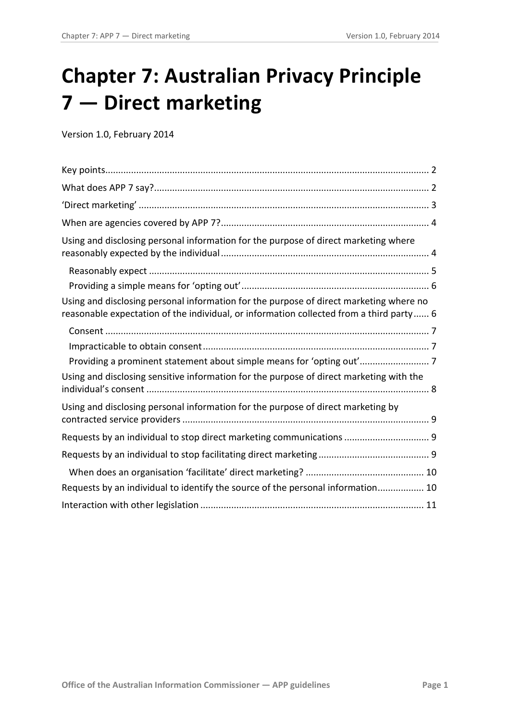# **Chapter 7: Australian Privacy Principle 7 — Direct marketing**

Version 1.0, February 2014

| Using and disclosing personal information for the purpose of direct marketing where                                                                                               |  |
|-----------------------------------------------------------------------------------------------------------------------------------------------------------------------------------|--|
|                                                                                                                                                                                   |  |
|                                                                                                                                                                                   |  |
| Using and disclosing personal information for the purpose of direct marketing where no<br>reasonable expectation of the individual, or information collected from a third party 6 |  |
|                                                                                                                                                                                   |  |
|                                                                                                                                                                                   |  |
| Providing a prominent statement about simple means for 'opting out' 7                                                                                                             |  |
| Using and disclosing sensitive information for the purpose of direct marketing with the                                                                                           |  |
| Using and disclosing personal information for the purpose of direct marketing by                                                                                                  |  |
| Requests by an individual to stop direct marketing communications  9                                                                                                              |  |
|                                                                                                                                                                                   |  |
|                                                                                                                                                                                   |  |
| Requests by an individual to identify the source of the personal information 10                                                                                                   |  |
|                                                                                                                                                                                   |  |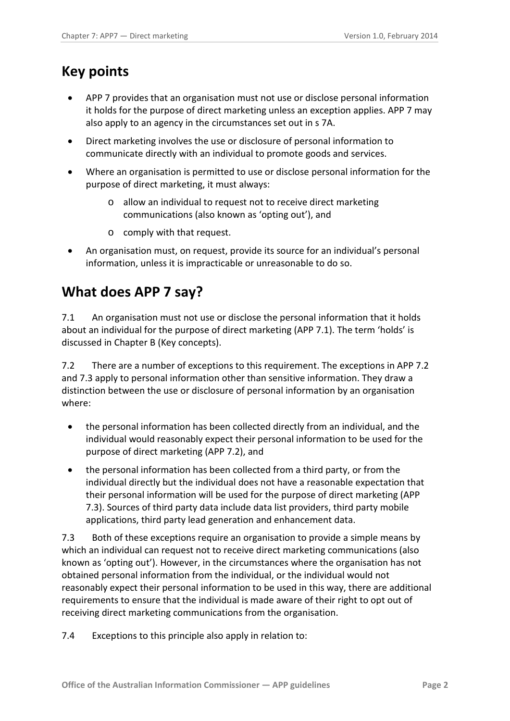### <span id="page-1-0"></span>**Key points**

- APP 7 provides that an organisation must not use or disclose personal information it holds for the purpose of direct marketing unless an exception applies. APP 7 may also apply to an agency in the circumstances set out in s 7A.
- Direct marketing involves the use or disclosure of personal information to communicate directly with an individual to promote goods and services.
- Where an organisation is permitted to use or disclose personal information for the purpose of direct marketing, it must always:
	- o allow an individual to request not to receive direct marketing communications (also known as 'opting out'), and
	- o comply with that request.
- An organisation must, on request, provide its source for an individual's personal information, unless it is impracticable or unreasonable to do so.

### <span id="page-1-1"></span>**What does APP 7 say?**

7.1 An organisation must not use or disclose the personal information that it holds about an individual for the purpose of direct marketing (APP 7.1). The term 'holds' is discussed in Chapter B (Key concepts).

7.2 There are a number of exceptions to this requirement. The exceptions in APP 7.2 and 7.3 apply to personal information other than sensitive information. They draw a distinction between the use or disclosure of personal information by an organisation where:

- the personal information has been collected directly from an individual, and the individual would reasonably expect their personal information to be used for the purpose of direct marketing (APP 7.2), and
- the personal information has been collected from a third party, or from the individual directly but the individual does not have a reasonable expectation that their personal information will be used for the purpose of direct marketing (APP 7.3). Sources of third party data include data list providers, third party mobile applications, third party lead generation and enhancement data.

7.3 Both of these exceptions require an organisation to provide a simple means by which an individual can request not to receive direct marketing communications (also known as 'opting out'). However, in the circumstances where the organisation has not obtained personal information from the individual, or the individual would not reasonably expect their personal information to be used in this way, there are additional requirements to ensure that the individual is made aware of their right to opt out of receiving direct marketing communications from the organisation.

7.4 Exceptions to this principle also apply in relation to: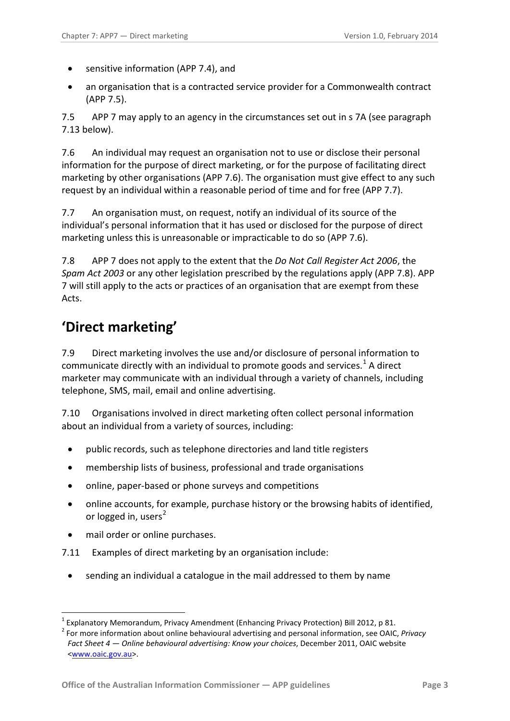- sensitive information (APP 7.4), and
- an organisation that is a contracted service provider for a Commonwealth contract (APP 7.5).

7.5 APP 7 may apply to an agency in the circumstances set out in s 7A (see paragraph [7.13](#page-3-2) below).

7.6 An individual may request an organisation not to use or disclose their personal information for the purpose of direct marketing, or for the purpose of facilitating direct marketing by other organisations (APP 7.6). The organisation must give effect to any such request by an individual within a reasonable period of time and for free (APP 7.7).

7.7 An organisation must, on request, notify an individual of its source of the individual's personal information that it has used or disclosed for the purpose of direct marketing unless this is unreasonable or impracticable to do so (APP 7.6).

7.8 APP 7 does not apply to the extent that the *Do Not Call Register Act 2006*, the *Spam Act 2003* or any other legislation prescribed by the regulations apply (APP 7.8). APP 7 will still apply to the acts or practices of an organisation that are exempt from these Acts.

### <span id="page-2-0"></span>**'Direct marketing'**

7.9 Direct marketing involves the use and/or disclosure of personal information to communicate directly with an individual to promote goods and services.<sup>[1](#page-9-2)</sup> A direct marketer may communicate with an individual through a variety of channels, including telephone, SMS, mail, email and online advertising.

7.10 Organisations involved in direct marketing often collect personal information about an individual from a variety of sources, including:

- public records, such as telephone directories and land title registers
- membership lists of business, professional and trade organisations
- online, paper-based or phone surveys and competitions
- online accounts, for example, purchase history or the browsing habits of identified, or logged in, users $<sup>2</sup>$  $<sup>2</sup>$  $<sup>2</sup>$ </sup>
- mail order or online purchases.

<span id="page-2-2"></span>1

- 7.11 Examples of direct marketing by an organisation include:
	- sending an individual a catalogue in the mail addressed to them by name

<span id="page-2-1"></span><sup>&</sup>lt;sup>1</sup> Explanatory Memorandum, Privacy Amendment (Enhancing Privacy Protection) Bill 2012, p 81.<br><sup>2</sup> For more information about online behavioural advertising and personal information, see OAIC, *Privacy Fact Sheet 4 — Online behavioural advertising: Know your choices*, December 2011, OAIC website [<www.oaic.gov.au>](http://www.oaic.gov.au/).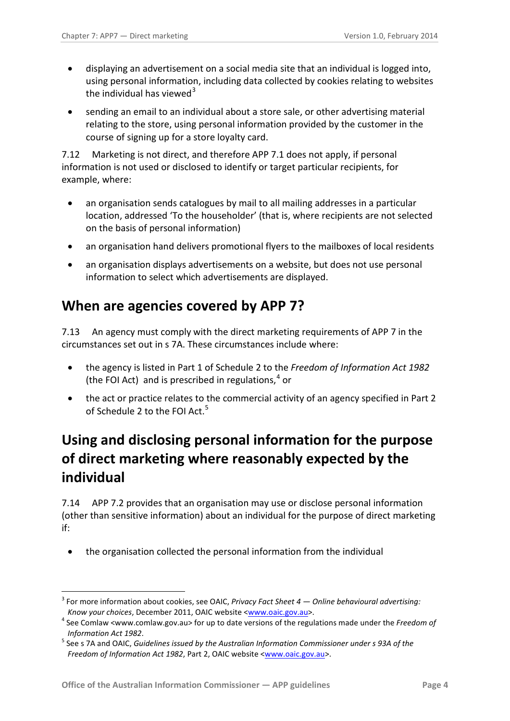- displaying an advertisement on a social media site that an individual is logged into, using personal information, including data collected by cookies relating to websites the individual has viewed $3$
- sending an email to an individual about a store sale, or other advertising material relating to the store, using personal information provided by the customer in the course of signing up for a store loyalty card.

7.12 Marketing is not direct, and therefore APP 7.1 does not apply, if personal information is not used or disclosed to identify or target particular recipients, for example, where:

- an organisation sends catalogues by mail to all mailing addresses in a particular location, addressed 'To the householder' (that is, where recipients are not selected on the basis of personal information)
- an organisation hand delivers promotional flyers to the mailboxes of local residents
- an organisation displays advertisements on a website, but does not use personal information to select which advertisements are displayed.

### <span id="page-3-0"></span>**When are agencies covered by APP 7?**

<span id="page-3-2"></span>7.13 An agency must comply with the direct marketing requirements of APP 7 in the circumstances set out in s 7A. These circumstances include where:

- the agency is listed in Part 1 of Schedule 2 to the *Freedom of Information Act 1982* (the FOI Act) and is prescribed in regulations, [4](#page-3-3) or
- the act or practice relates to the commercial activity of an agency specified in Part 2 of Schedule 2 to the FOI Act.<sup>5</sup>

### <span id="page-3-1"></span>**Using and disclosing personal information for the purpose of direct marketing where reasonably expected by the individual**

7.14 APP 7.2 provides that an organisation may use or disclose personal information (other than sensitive information) about an individual for the purpose of direct marketing if:

• the organisation collected the personal information from the individual

<u>.</u>

<sup>3</sup> For more information about cookies, see OAIC, *Privacy Fact Sheet 4 — Online behavioural advertising: Know your choices*, December 2011, OAIC website <<u>www.oaic.gov.au</u>>.<br><sup>4</sup> See Comlaw <www.comlaw.gov.au> for up to date versions of the regulations made under the *Freedom of* 

<span id="page-3-5"></span><span id="page-3-4"></span><span id="page-3-3"></span>*Information Act 1982*. 5 See s 7A and OAIC, *Guidelines issued by the Australian Information Commissioner under s 93A of the Freedom of Information Act 1982*, Part 2, OAIC website [<www.oaic.gov.au>](http://www.oaic.gov.au/).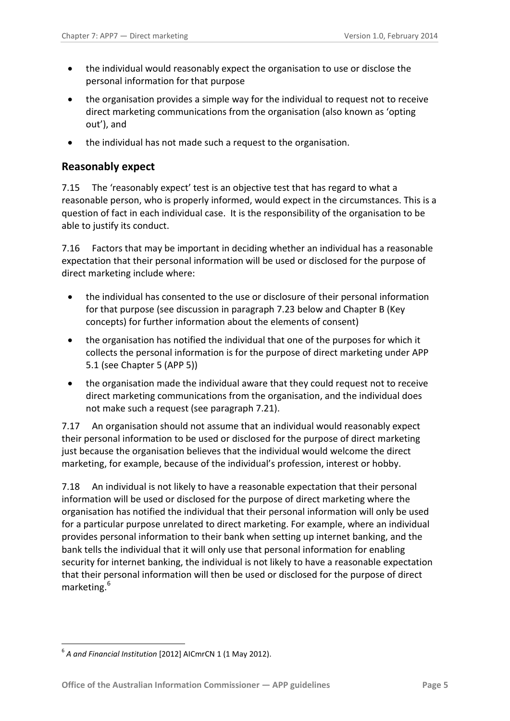- the individual would reasonably expect the organisation to use or disclose the personal information for that purpose
- the organisation provides a simple way for the individual to request not to receive direct marketing communications from the organisation (also known as 'opting out'), and
- the individual has not made such a request to the organisation.

#### <span id="page-4-0"></span>**Reasonably expect**

7.15 The 'reasonably expect' test is an objective test that has regard to what a reasonable person, who is properly informed, would expect in the circumstances. This is a question of fact in each individual case. It is the responsibility of the organisation to be able to justify its conduct.

7.16 Factors that may be important in deciding whether an individual has a reasonable expectation that their personal information will be used or disclosed for the purpose of direct marketing include where:

- the individual has consented to the use or disclosure of their personal information for that purpose (see discussion in paragraph [7.23](#page-6-3) below and Chapter B (Key concepts) for further information about the elements of consent)
- the organisation has notified the individual that one of the purposes for which it collects the personal information is for the purpose of direct marketing under APP 5.1 (see Chapter 5 (APP 5))
- the organisation made the individual aware that they could request not to receive direct marketing communications from the organisation, and the individual does not make such a request (see paragraph [7.21\)](#page-5-2).

7.17 An organisation should not assume that an individual would reasonably expect their personal information to be used or disclosed for the purpose of direct marketing just because the organisation believes that the individual would welcome the direct marketing, for example, because of the individual's profession, interest or hobby.

7.18 An individual is not likely to have a reasonable expectation that their personal information will be used or disclosed for the purpose of direct marketing where the organisation has notified the individual that their personal information will only be used for a particular purpose unrelated to direct marketing. For example, where an individual provides personal information to their bank when setting up internet banking, and the bank tells the individual that it will only use that personal information for enabling security for internet banking, the individual is not likely to have a reasonable expectation that their personal information will then be used or disclosed for the purpose of direct marketing. [6](#page-3-5)

<span id="page-4-1"></span><sup>&</sup>lt;u>.</u> <sup>6</sup> *A and Financial Institution* [2012] AICmrCN 1 (1 May 2012).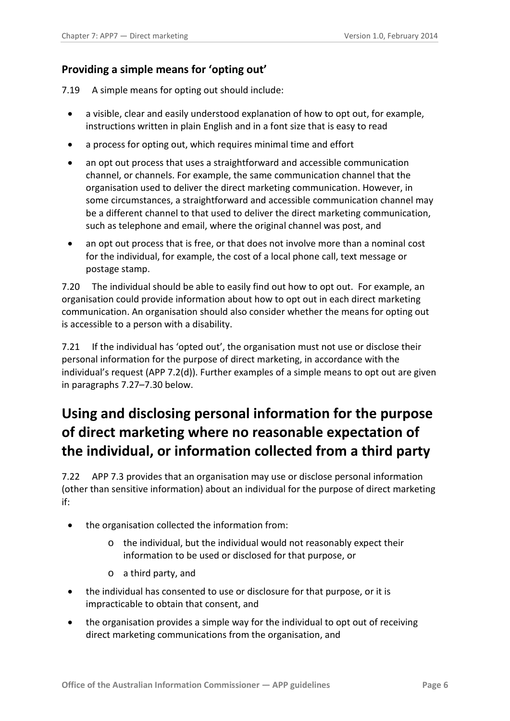#### <span id="page-5-0"></span>**Providing a simple means for 'opting out'**

<span id="page-5-3"></span>7.19 A simple means for opting out should include:

- a visible, clear and easily understood explanation of how to opt out, for example, instructions written in plain English and in a font size that is easy to read
- a process for opting out, which requires minimal time and effort
- an opt out process that uses a straightforward and accessible communication channel, or channels. For example, the same communication channel that the organisation used to deliver the direct marketing communication. However, in some circumstances, a straightforward and accessible communication channel may be a different channel to that used to deliver the direct marketing communication, such as telephone and email, where the original channel was post, and
- an opt out process that is free, or that does not involve more than a nominal cost for the individual, for example, the cost of a local phone call, text message or postage stamp.

7.20 The individual should be able to easily find out how to opt out. For example, an organisation could provide information about how to opt out in each direct marketing communication. An organisation should also consider whether the means for opting out is accessible to a person with a disability.

<span id="page-5-2"></span>7.21 If the individual has 'opted out', the organisation must not use or disclose their personal information for the purpose of direct marketing, in accordance with the individual's request (APP 7.2(d)). Further examples of a simple means to opt out are given in paragraphs [7.27](#page-6-4)[–7.30](#page-7-1) below.

# <span id="page-5-1"></span>**Using and disclosing personal information for the purpose of direct marketing where no reasonable expectation of the individual, or information collected from a third party**

7.22 APP 7.3 provides that an organisation may use or disclose personal information (other than sensitive information) about an individual for the purpose of direct marketing if:

- the organisation collected the information from:
	- o the individual, but the individual would not reasonably expect their information to be used or disclosed for that purpose, or
	- o a third party, and
- the individual has consented to use or disclosure for that purpose, or it is impracticable to obtain that consent, and
- the organisation provides a simple way for the individual to opt out of receiving direct marketing communications from the organisation, and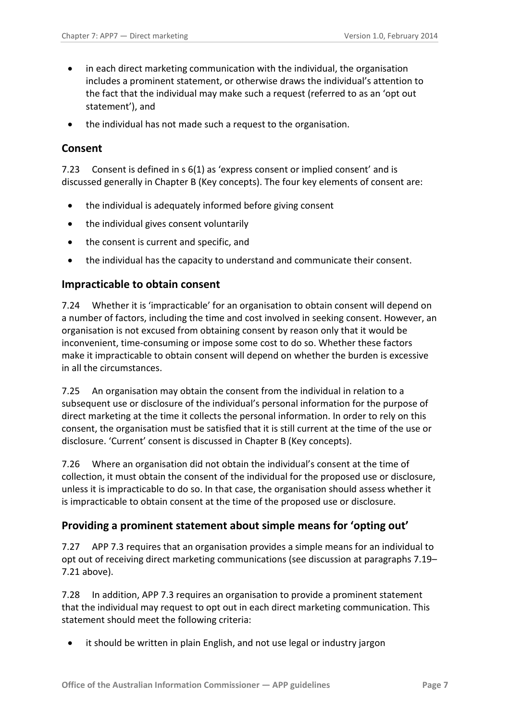- in each direct marketing communication with the individual, the organisation includes a prominent statement, or otherwise draws the individual's attention to the fact that the individual may make such a request (referred to as an 'opt out statement'), and
- the individual has not made such a request to the organisation.

#### <span id="page-6-0"></span>**Consent**

<span id="page-6-3"></span>7.23 Consent is defined in s 6(1) as 'express consent or implied consent' and is discussed generally in Chapter B (Key concepts). The four key elements of consent are:

- the individual is adequately informed before giving consent
- the individual gives consent voluntarily
- the consent is current and specific, and
- the individual has the capacity to understand and communicate their consent.

#### <span id="page-6-1"></span>**Impracticable to obtain consent**

7.24 Whether it is 'impracticable' for an organisation to obtain consent will depend on a number of factors, including the time and cost involved in seeking consent. However, an organisation is not excused from obtaining consent by reason only that it would be inconvenient, time-consuming or impose some cost to do so. Whether these factors make it impracticable to obtain consent will depend on whether the burden is excessive in all the circumstances.

7.25 An organisation may obtain the consent from the individual in relation to a subsequent use or disclosure of the individual's personal information for the purpose of direct marketing at the time it collects the personal information. In order to rely on this consent, the organisation must be satisfied that it is still current at the time of the use or disclosure. 'Current' consent is discussed in Chapter B (Key concepts).

7.26 Where an organisation did not obtain the individual's consent at the time of collection, it must obtain the consent of the individual for the proposed use or disclosure, unless it is impracticable to do so. In that case, the organisation should assess whether it is impracticable to obtain consent at the time of the proposed use or disclosure.

#### <span id="page-6-2"></span>**Providing a prominent statement about simple means for 'opting out'**

<span id="page-6-4"></span>7.27 APP 7.3 requires that an organisation provides a simple means for an individual to opt out of receiving direct marketing communications (see discussion at paragraphs [7.19–](#page-5-3) [7.21](#page-5-2) above).

7.28 In addition, APP 7.3 requires an organisation to provide a prominent statement that the individual may request to opt out in each direct marketing communication. This statement should meet the following criteria:

• it should be written in plain English, and not use legal or industry jargon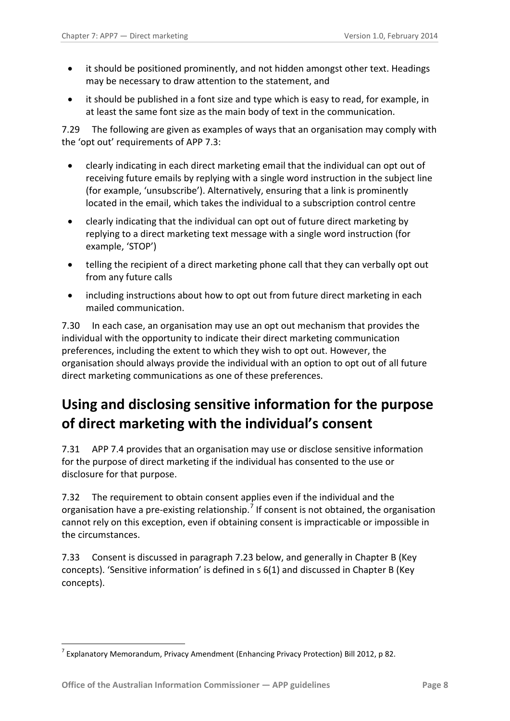- it should be positioned prominently, and not hidden amongst other text. Headings may be necessary to draw attention to the statement, and
- it should be published in a font size and type which is easy to read, for example, in at least the same font size as the main body of text in the communication.

7.29 The following are given as examples of ways that an organisation may comply with the 'opt out' requirements of APP 7.3:

- clearly indicating in each direct marketing email that the individual can opt out of receiving future emails by replying with a single word instruction in the subject line (for example, 'unsubscribe'). Alternatively, ensuring that a link is prominently located in the email, which takes the individual to a subscription control centre
- clearly indicating that the individual can opt out of future direct marketing by replying to a direct marketing text message with a single word instruction (for example, 'STOP')
- telling the recipient of a direct marketing phone call that they can verbally opt out from any future calls
- including instructions about how to opt out from future direct marketing in each mailed communication.

<span id="page-7-1"></span>7.30 In each case, an organisation may use an opt out mechanism that provides the individual with the opportunity to indicate their direct marketing communication preferences, including the extent to which they wish to opt out. However, the organisation should always provide the individual with an option to opt out of all future direct marketing communications as one of these preferences.

# <span id="page-7-0"></span>**Using and disclosing sensitive information for the purpose of direct marketing with the individual's consent**

7.31 APP 7.4 provides that an organisation may use or disclose sensitive information for the purpose of direct marketing if the individual has consented to the use or disclosure for that purpose.

7.32 The requirement to obtain consent applies even if the individual and the organisation have a pre-existing relationship.<sup>[7](#page-4-1)</sup> If consent is not obtained, the organisation cannot rely on this exception, even if obtaining consent is impracticable or impossible in the circumstances.

7.33 Consent is discussed in paragraph [7.23](#page-6-3) below, and generally in Chapter B (Key concepts). 'Sensitive information' is defined in s 6(1) and discussed in Chapter B (Key concepts).

<span id="page-7-2"></span><sup>&</sup>lt;u>.</u>  $^7$  Explanatory Memorandum, Privacy Amendment (Enhancing Privacy Protection) Bill 2012, p 82.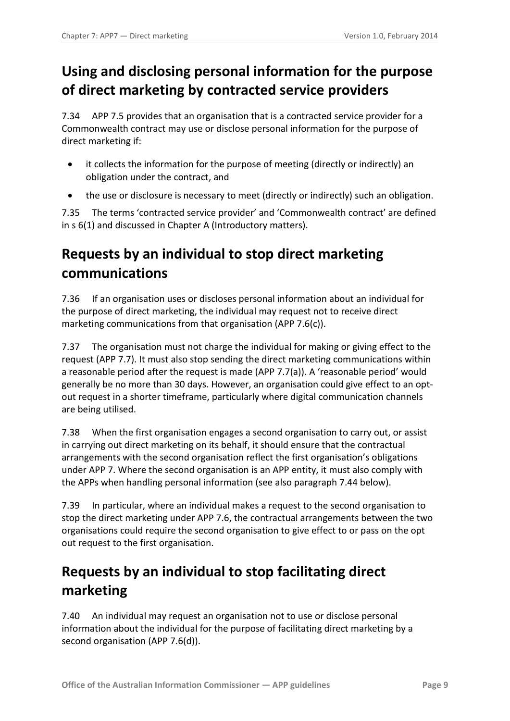# <span id="page-8-0"></span>**Using and disclosing personal information for the purpose of direct marketing by contracted service providers**

7.34 APP 7.5 provides that an organisation that is a contracted service provider for a Commonwealth contract may use or disclose personal information for the purpose of direct marketing if:

- it collects the information for the purpose of meeting (directly or indirectly) an obligation under the contract, and
- the use or disclosure is necessary to meet (directly or indirectly) such an obligation.

7.35 The terms 'contracted service provider' and 'Commonwealth contract' are defined in s 6(1) and discussed in Chapter A (Introductory matters).

# <span id="page-8-1"></span>**Requests by an individual to stop direct marketing communications**

7.36 If an organisation uses or discloses personal information about an individual for the purpose of direct marketing, the individual may request not to receive direct marketing communications from that organisation (APP 7.6(c)).

7.37 The organisation must not charge the individual for making or giving effect to the request (APP 7.7). It must also stop sending the direct marketing communications within a reasonable period after the request is made (APP 7.7(a)). A 'reasonable period' would generally be no more than 30 days. However, an organisation could give effect to an optout request in a shorter timeframe, particularly where digital communication channels are being utilised.

<span id="page-8-3"></span>7.38 When the first organisation engages a second organisation to carry out, or assist in carrying out direct marketing on its behalf, it should ensure that the contractual arrangements with the second organisation reflect the first organisation's obligations under APP 7. Where the second organisation is an APP entity, it must also comply with the APPs when handling personal information (see also paragraph [7.44](#page-9-3) below).

<span id="page-8-4"></span>7.39 In particular, where an individual makes a request to the second organisation to stop the direct marketing under APP 7.6, the contractual arrangements between the two organisations could require the second organisation to give effect to or pass on the opt out request to the first organisation.

# <span id="page-8-2"></span>**Requests by an individual to stop facilitating direct marketing**

7.40 An individual may request an organisation not to use or disclose personal information about the individual for the purpose of facilitating direct marketing by a second organisation (APP 7.6(d)).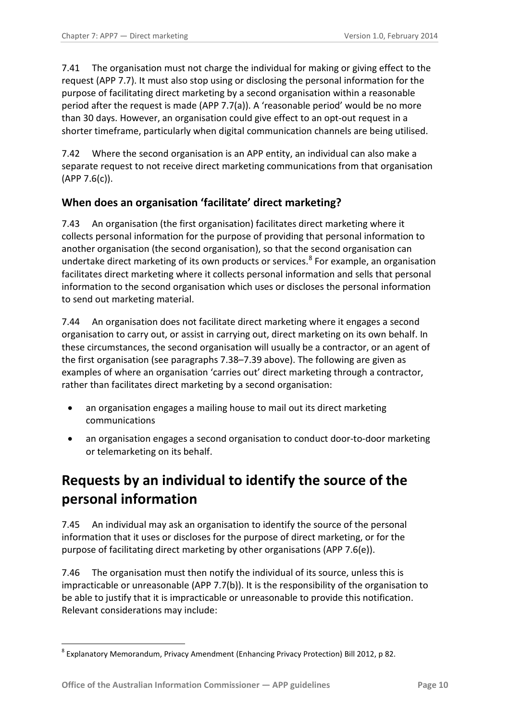7.41 The organisation must not charge the individual for making or giving effect to the request (APP 7.7). It must also stop using or disclosing the personal information for the purpose of facilitating direct marketing by a second organisation within a reasonable period after the request is made (APP 7.7(a)). A 'reasonable period' would be no more than 30 days. However, an organisation could give effect to an opt-out request in a shorter timeframe, particularly when digital communication channels are being utilised.

7.42 Where the second organisation is an APP entity, an individual can also make a separate request to not receive direct marketing communications from that organisation  $(APP 7.6(c)).$ 

#### <span id="page-9-0"></span>**When does an organisation 'facilitate' direct marketing?**

7.43 An organisation (the first organisation) facilitates direct marketing where it collects personal information for the purpose of providing that personal information to another organisation (the second organisation), so that the second organisation can undertake direct marketing of its own products or services. [8](#page-7-2) For example, an organisation facilitates direct marketing where it collects personal information and sells that personal information to the second organisation which uses or discloses the personal information to send out marketing material.

7.44 An organisation does not facilitate direct marketing where it engages a second organisation to carry out, or assist in carrying out, direct marketing on its own behalf. In these circumstances, the second organisation will usually be a contractor, or an agent of the first organisation (see paragraphs [7.38](#page-8-3)[–7.39](#page-8-4) above). The following are given as examples of where an organisation 'carries out' direct marketing through a contractor, rather than facilitates direct marketing by a second organisation:

- <span id="page-9-3"></span>• an organisation engages a mailing house to mail out its direct marketing communications
- an organisation engages a second organisation to conduct door-to-door marketing or telemarketing on its behalf.

# <span id="page-9-1"></span>**Requests by an individual to identify the source of the personal information**

7.45 An individual may ask an organisation to identify the source of the personal information that it uses or discloses for the purpose of direct marketing, or for the purpose of facilitating direct marketing by other organisations (APP 7.6(e)).

7.46 The organisation must then notify the individual of its source, unless this is impracticable or unreasonable (APP 7.7(b)). It is the responsibility of the organisation to be able to justify that it is impracticable or unreasonable to provide this notification. Relevant considerations may include:

<span id="page-9-2"></span><sup>&</sup>lt;u>.</u> <sup>8</sup> Explanatory Memorandum, Privacy Amendment (Enhancing Privacy Protection) Bill 2012, p 82.